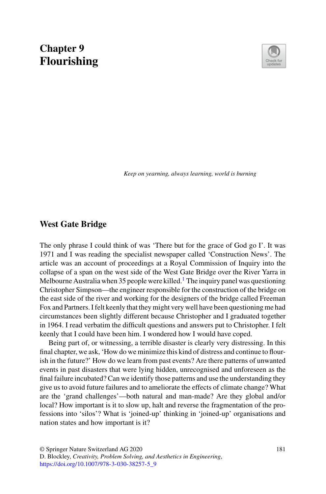# **Chapter 9 Flourishing**



*Keep on yearning, always learning, world is burning*

## **West Gate Bridge**

The only phrase I could think of was 'There but for the grace of God go I'. It was 1971 and I was reading the specialist newspaper called 'Construction News'. The article was an account of proceedings at a Royal Commission of Inquiry into the collapse of a span on the west side of the West Gate Bridge over the River Yarra in Melbourne Australia when 35 people were killed.<sup>[1](#page-29-0)</sup> The inquiry panel was questioning Christopher Simpson—the engineer responsible for the construction of the bridge on the east side of the river and working for the designers of the bridge called Freeman Fox and Partners. I felt keenly that they might very well have been questioning me had circumstances been slightly different because Christopher and I graduated together in 1964. I read verbatim the difficult questions and answers put to Christopher. I felt keenly that I could have been him. I wondered how I would have coped.

Being part of, or witnessing, a terrible disaster is clearly very distressing. In this final chapter, we ask, 'How do we minimize this kind of distress and continue to flourish in the future?' How do we learn from past events? Are there patterns of unwanted events in past disasters that were lying hidden, unrecognised and unforeseen as the final failure incubated? Can we identify those patterns and use the understanding they give us to avoid future failures and to ameliorate the effects of climate change? What are the 'grand challenges'—both natural and man-made? Are they global and/or local? How important is it to slow up, halt and reverse the fragmentation of the professions into 'silos'? What is 'joined-up' thinking in 'joined-up' organisations and nation states and how important is it?

<sup>©</sup> Springer Nature Switzerland AG 2020

D. Blockley, *Creativity, Problem Solving, and Aesthetics in Engineering*, [https://doi.org/10.1007/978-3-030-38257-5\\_9](https://doi.org/10.1007/978-3-030-38257-5_9)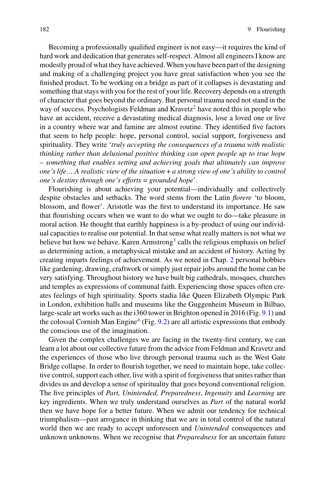Becoming a professionally qualified engineer is not easy—it requires the kind of hard work and dedication that generates self-respect. Almost all engineers I know are modestly proud of what they have achieved.When you have been part of the designing and making of a challenging project you have great satisfaction when you see the finished product. To be working on a bridge as part of it collapses is devastating and something that stays with you for the rest of your life. Recovery depends on a strength of character that goes beyond the ordinary. But personal trauma need not stand in the way of success. Psychologists Feldman and Kravetz<sup>[2](#page-29-0)</sup> have noted this in people who have an accident, receive a devastating medical diagnosis, lose a loved one or live in a country where war and famine are almost routine. They identified five factors that seem to help people: hope, personal control, social support, forgiveness and spirituality. They write '*truly accepting the consequences of a trauma with realistic thinking rather than delusional positive thinking can open people up to true hope* – *something that enables setting and achieving goals that ultimately can improve one's life…*.*A realistic view of the situation* + *a strong view of one's ability to control one's destiny through one's efforts* = *grounded hope*'.

Flourishing is about achieving your potential—individually and collectively despite obstacles and setbacks. The word stems from the Latin *florere* 'to bloom, blossom, and flower'. Aristotle was the first to understand its importance. He saw that flourishing occurs when we want to do what we ought to do—take pleasure in moral action. He thought that earthly happiness is a by-product of using our individual capacities to realise our potential. In that sense what really matters is not what we believe but how we behave. Karen Armstrong<sup>3</sup> calls the religious emphasis on belief as determining action, a metaphysical mistake and an accident of history. Acting by creating imparts feelings of achievement. As we noted in Chap. 2 personal hobbies like gardening, drawing, craftwork or simply just repair jobs around the home can be very satisfying. Throughout history we have built big cathedrals, mosques, churches and temples as expressions of communal faith. Experiencing those spaces often creates feelings of high spirituality. Sports stadia like Queen Elizabeth Olympic Park in London, exhibition halls and museums like the Guggenheim Museum in Bilbao, large-scale art works such as the i360 tower in Brighton opened in 2016 (Fig. [9.1\)](#page-2-0) and the colossal Cornish Man Engine<sup>4</sup> (Fig. [9.2\)](#page-2-1) are all artistic expressions that embody the conscious use of the imagination.

Given the complex challenges we are facing in the twenty-first century, we can learn a lot about our collective future from the advice from Feldman and Kravetz and the experiences of those who live through personal trauma such as the West Gate Bridge collapse. In order to flourish together, we need to maintain hope, take collective control, support each other, live with a spirit of forgiveness that unites rather than divides us and develop a sense of spirituality that goes beyond conventional religion. The five principles of *Part, Unintended, Preparedness*, *Ingenuity* and *Learning* are key ingredients. When we truly understand ourselves as *Part* of the natural world then we have hope for a better future. When we admit our tendency for technical triumphalism—past arrogance in thinking that we are in total control of the natural world then we are ready to accept unforeseen and *Unintended* consequences and unknown unknowns. When we recognise that *Preparedness* for an uncertain future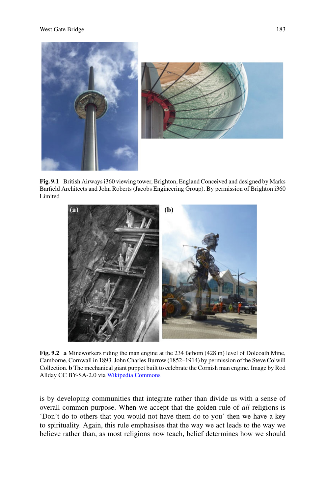

**Fig. 9.1** British Airways i360 viewing tower, Brighton, England Conceived and designed by Marks Barfield Architects and John Roberts (Jacobs Engineering Group). By permission of Brighton i360 Limited

<span id="page-2-0"></span>

**Fig. 9.2 a** Mineworkers riding the man engine at the 234 fathom (428 m) level of Dolcoath Mine, Camborne, Cornwall in 1893. John Charles Burrow (1852–1914) by permission of the Steve Colwill Collection. **b** The mechanical giant puppet built to celebrate the Cornish man engine. Image by Rod Allday CC BY-SA-2.0 via [Wikipedia Commons](https://www.geograph.org.uk/photo/5067913)

<span id="page-2-1"></span>is by developing communities that integrate rather than divide us with a sense of overall common purpose. When we accept that the golden rule of *all* religions is 'Don't do to others that you would not have them do to you' then we have a key to spirituality. Again, this rule emphasises that the way we act leads to the way we believe rather than, as most religions now teach, belief determines how we should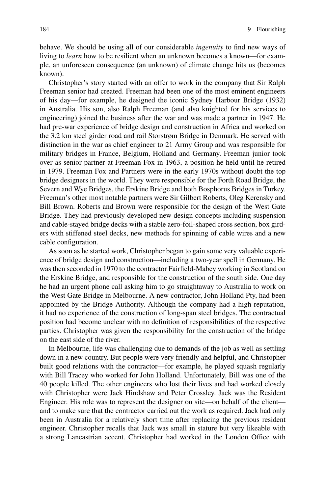Christopher's story started with an offer to work in the company that Sir Ralph Freeman senior had created. Freeman had been one of the most eminent engineers of his day—for example, he designed the iconic Sydney Harbour Bridge (1932) in Australia. His son, also Ralph Freeman (and also knighted for his services to engineering) joined the business after the war and was made a partner in 1947. He had pre-war experience of bridge design and construction in Africa and worked on the 3.2 km steel girder road and rail Storstrøm Bridge in Denmark. He served with distinction in the war as chief engineer to 21 Army Group and was responsible for military bridges in France, Belgium, Holland and Germany. Freeman junior took over as senior partner at Freeman Fox in 1963, a position he held until he retired in 1979. Freeman Fox and Partners were in the early 1970s without doubt the top bridge designers in the world. They were responsible for the Forth Road Bridge, the Severn and Wye Bridges, the Erskine Bridge and both Bosphorus Bridges in Turkey. Freeman's other most notable partners were Sir Gilbert Roberts, Oleg Kerensky and Bill Brown. Roberts and Brown were responsible for the design of the West Gate Bridge. They had previously developed new design concepts including suspension and cable-stayed bridge decks with a stable aero-foil-shaped cross section, box girders with stiffened steel decks, new methods for spinning of cable wires and a new cable configuration.

As soon as he started work, Christopher began to gain some very valuable experience of bridge design and construction—including a two-year spell in Germany. He was then seconded in 1970 to the contractor Fairfield-Mabey working in Scotland on the Erskine Bridge, and responsible for the construction of the south side. One day he had an urgent phone call asking him to go straightaway to Australia to work on the West Gate Bridge in Melbourne. A new contractor, John Holland Pty, had been appointed by the Bridge Authority. Although the company had a high reputation, it had no experience of the construction of long-span steel bridges. The contractual position had become unclear with no definition of responsibilities of the respective parties. Christopher was given the responsibility for the construction of the bridge on the east side of the river.

In Melbourne, life was challenging due to demands of the job as well as settling down in a new country. But people were very friendly and helpful, and Christopher built good relations with the contractor—for example, he played squash regularly with Bill Tracey who worked for John Holland. Unfortunately, Bill was one of the 40 people killed. The other engineers who lost their lives and had worked closely with Christopher were Jack Hindshaw and Peter Crossley. Jack was the Resident Engineer. His role was to represent the designer on site—on behalf of the client and to make sure that the contractor carried out the work as required. Jack had only been in Australia for a relatively short time after replacing the previous resident engineer. Christopher recalls that Jack was small in stature but very likeable with a strong Lancastrian accent. Christopher had worked in the London Office with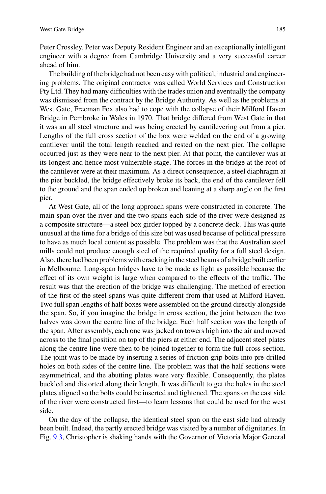Peter Crossley. Peter was Deputy Resident Engineer and an exceptionally intelligent engineer with a degree from Cambridge University and a very successful career ahead of him.

The building of the bridge had not been easy with political, industrial and engineering problems. The original contractor was called World Services and Construction Pty Ltd. They had many difficulties with the trades union and eventually the company was dismissed from the contract by the Bridge Authority. As well as the problems at West Gate, Freeman Fox also had to cope with the collapse of their Milford Haven Bridge in Pembroke in Wales in 1970. That bridge differed from West Gate in that it was an all steel structure and was being erected by cantilevering out from a pier. Lengths of the full cross section of the box were welded on the end of a growing cantilever until the total length reached and rested on the next pier. The collapse occurred just as they were near to the next pier. At that point, the cantilever was at its longest and hence most vulnerable stage. The forces in the bridge at the root of the cantilever were at their maximum. As a direct consequence, a steel diaphragm at the pier buckled, the bridge effectively broke its back, the end of the cantilever fell to the ground and the span ended up broken and leaning at a sharp angle on the first pier.

At West Gate, all of the long approach spans were constructed in concrete. The main span over the river and the two spans each side of the river were designed as a composite structure—a steel box girder topped by a concrete deck. This was quite unusual at the time for a bridge of this size but was used because of political pressure to have as much local content as possible. The problem was that the Australian steel mills could not produce enough steel of the required quality for a full steel design. Also, there had been problems with cracking in the steel beams of a bridge built earlier in Melbourne. Long-span bridges have to be made as light as possible because the effect of its own weight is large when compared to the effects of the traffic. The result was that the erection of the bridge was challenging. The method of erection of the first of the steel spans was quite different from that used at Milford Haven. Two full span lengths of half boxes were assembled on the ground directly alongside the span. So, if you imagine the bridge in cross section, the joint between the two halves was down the centre line of the bridge. Each half section was the length of the span. After assembly, each one was jacked on towers high into the air and moved across to the final position on top of the piers at either end. The adjacent steel plates along the centre line were then to be joined together to form the full cross section. The joint was to be made by inserting a series of friction grip bolts into pre-drilled holes on both sides of the centre line. The problem was that the half sections were asymmetrical, and the abutting plates were very flexible. Consequently, the plates buckled and distorted along their length. It was difficult to get the holes in the steel plates aligned so the bolts could be inserted and tightened. The spans on the east side of the river were constructed first—to learn lessons that could be used for the west side.

On the day of the collapse, the identical steel span on the east side had already been built. Indeed, the partly erected bridge was visited by a number of dignitaries. In Fig. [9.3,](#page-5-0) Christopher is shaking hands with the Governor of Victoria Major General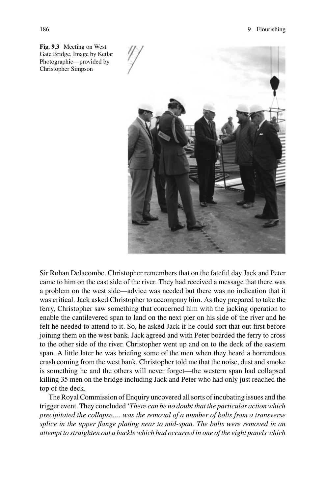<span id="page-5-0"></span>**Fig. 9.3** Meeting on West Gate Bridge. Image by Ketlar Photographic—provided by Christopher Simpson



Sir Rohan Delacombe. Christopher remembers that on the fateful day Jack and Peter came to him on the east side of the river. They had received a message that there was a problem on the west side—advice was needed but there was no indication that it was critical. Jack asked Christopher to accompany him. As they prepared to take the ferry, Christopher saw something that concerned him with the jacking operation to enable the cantilevered span to land on the next pier on his side of the river and he felt he needed to attend to it. So, he asked Jack if he could sort that out first before joining them on the west bank. Jack agreed and with Peter boarded the ferry to cross to the other side of the river. Christopher went up and on to the deck of the eastern span. A little later he was briefing some of the men when they heard a horrendous crash coming from the west bank. Christopher told me that the noise, dust and smoke is something he and the others will never forget—the western span had collapsed killing 35 men on the bridge including Jack and Peter who had only just reached the top of the deck.

The Royal Commission of Enquiry uncovered all sorts of incubating issues and the trigger event. They concluded '*There can be no doubt that the particular action which precipitated the collapse…. was the removal of a number of bolts from a transverse splice in the upper flange plating near to mid*-*span. The bolts were removed in an attempt to straighten out a buckle which had occurred in one of the eight panels which*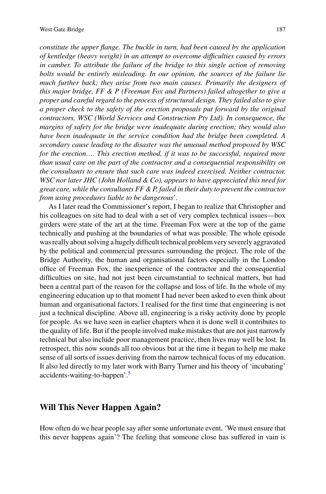*constitute the upper flange. The buckle in turn, had been caused by the application of kentledge (heavy weight) in an attempt to overcome difficulties caused by errors in camber. To attribute the failure of the bridge to this single action of removing bolts would be entirely misleading. In our opinion, the sources of the failure lie much further back; they arise from two main causes. Primarily the designers of this major bridge, FF & P (Freeman Fox and Partners) failed altogether to give a proper and careful regard to the process of structural design. They failed also to give a proper check to the safety of the erection proposals put forward by the original contractors, WSC (World Services and Construction Pty Ltd). In consequence, the margins of safety for the bridge were inadequate during erection; they would also have been inadequate in the service condition had the bridge been completed. A secondary cause leading to the disaster was the unusual method proposed by WSC for the erection…. This erection method, if it was to be successful, required more than usual care on the part of the contractor and a consequential responsibility on the consultants to ensure that such care was indeed exercised. Neither contractor, WSC nor later JHC (John Holland & Co), appears to have appreciated this need for great care, while the consultants FF & P, failed in their duty to prevent the contractor from using procedures liable to be dangerous*'.

As I later read the Commissioner's report, I began to realize that Christopher and his colleagues on site had to deal with a set of very complex technical issues—box girders were state of the art at the time. Freeman Fox were at the top of the game technically and pushing at the boundaries of what was possible. The whole episode was really about solving a hugely difficult technical problem very severely aggravated by the political and commercial pressures surrounding the project. The role of the Bridge Authority, the human and organisational factors especially in the London office of Freeman Fox, the inexperience of the contractor and the consequential difficulties on site, had not just been circumstantial to technical matters, but had been a central part of the reason for the collapse and loss of life. In the whole of my engineering education up to that moment I had never been asked to even think about human and organisational factors. I realised for the first time that engineering is not just a technical discipline. Above all, engineering is a risky activity done by people for people. As we have seen in earlier chapters when it is done well it contributes to the quality of life. But if the people involved make mistakes that are not just narrowly technical but also include poor management practice, then lives may well be lost. In retrospect, this now sounds all too obvious but at the time it began to help me make sense of all sorts of issues deriving from the narrow technical focus of my education. It also led directly to my later work with Barry Turner and his theory of 'incubating' accidents-waiting-to-happen'[.5](#page-29-0)

#### **Will This Never Happen Again?**

How often do we hear people say after some unfortunate event, 'We must ensure that this never happens again'? The feeling that someone close has suffered in vain is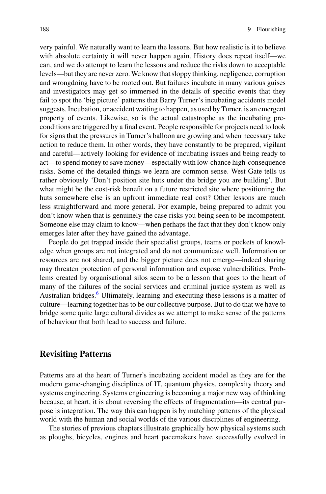very painful. We naturally want to learn the lessons. But how realistic is it to believe with absolute certainty it will never happen again. History does repeat itself—we can, and we do attempt to learn the lessons and reduce the risks down to acceptable levels—but they are never zero.We know that sloppy thinking, negligence, corruption and wrongdoing have to be rooted out. But failures incubate in many various guises and investigators may get so immersed in the details of specific events that they fail to spot the 'big picture' patterns that Barry Turner's incubating accidents model suggests. Incubation, or accident waiting to happen, as used by Turner, is an emergent property of events. Likewise, so is the actual catastrophe as the incubating preconditions are triggered by a final event. People responsible for projects need to look for signs that the pressures in Turner's balloon are growing and when necessary take action to reduce them. In other words, they have constantly to be prepared, vigilant and careful—actively looking for evidence of incubating issues and being ready to act—to spend money to save money—especially with low-chance high-consequence risks. Some of the detailed things we learn are common sense. West Gate tells us rather obviously 'Don't position site huts under the bridge you are building'. But what might be the cost-risk benefit on a future restricted site where positioning the huts somewhere else is an upfront immediate real cost? Other lessons are much less straightforward and more general. For example, being prepared to admit you don't know when that is genuinely the case risks you being seen to be incompetent. Someone else may claim to know—when perhaps the fact that they don't know only emerges later after they have gained the advantage.

People do get trapped inside their specialist groups, teams or pockets of knowledge when groups are not integrated and do not communicate well. Information or resources are not shared, and the bigger picture does not emerge—indeed sharing may threaten protection of personal information and expose vulnerabilities. Problems created by organisational silos seem to be a lesson that goes to the heart of many of the failures of the social services and criminal justice system as well as Australian bridges.<sup>6</sup> Ultimately, learning and executing these lessons is a matter of culture—learning together has to be our collective purpose. But to do that we have to bridge some quite large cultural divides as we attempt to make sense of the patterns of behaviour that both lead to success and failure.

## **Revisiting Patterns**

Patterns are at the heart of Turner's incubating accident model as they are for the modern game-changing disciplines of IT, quantum physics, complexity theory and systems engineering. Systems engineering is becoming a major new way of thinking because, at heart, it is about reversing the effects of fragmentation—its central purpose is integration. The way this can happen is by matching patterns of the physical world with the human and social worlds of the various disciplines of engineering.

The stories of previous chapters illustrate graphically how physical systems such as ploughs, bicycles, engines and heart pacemakers have successfully evolved in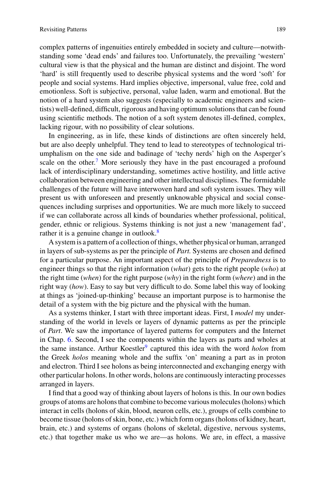complex patterns of ingenuities entirely embedded in society and culture—notwithstanding some 'dead ends' and failures too. Unfortunately, the prevailing 'western' cultural view is that the physical and the human are distinct and disjoint. The word 'hard' is still frequently used to describe physical systems and the word 'soft' for people and social systems. Hard implies objective, impersonal, value free, cold and emotionless. Soft is subjective, personal, value laden, warm and emotional. But the notion of a hard system also suggests (especially to academic engineers and scientists) well-defined, difficult, rigorous and having optimum solutions that can be found using scientific methods. The notion of a soft system denotes ill-defined, complex, lacking rigour, with no possibility of clear solutions.

In engineering, as in life, these kinds of distinctions are often sincerely held, but are also deeply unhelpful. They tend to lead to stereotypes of technological triumphalism on the one side and badinage of 'techy nerds' high on the Asperger's scale on the other.<sup>[7](#page-29-0)</sup> More seriously they have in the past encouraged a profound lack of interdisciplinary understanding, sometimes active hostility, and little active collaboration between engineering and other intellectual disciplines. The formidable challenges of the future will have interwoven hard and soft system issues. They will present us with unforeseen and presently unknowable physical and social consequences including surprises and opportunities. We are much more likely to succeed if we can collaborate across all kinds of boundaries whether professional, political, gender, ethnic or religious. Systems thinking is not just a new 'management fad', rather it is a genuine change in outlook.<sup>8</sup>

A system is a pattern of a collection of things, whether physical or human, arranged in layers of sub-systems as per the principle of *Part.* Systems are chosen and defined for a particular purpose. An important aspect of the principle of *Preparedness* is to engineer things so that the right information (*what*) gets to the right people (*who*) at the right time (*when*) for the right purpose (*why*) in the right form (*where*) and in the right way (*how*). Easy to say but very difficult to do. Some label this way of looking at things as 'joined-up-thinking' because an important purpose is to harmonise the detail of a system with the big picture and the physical with the human.

As a systems thinker, I start with three important ideas. First, I *model* my understanding of the world in levels or layers of dynamic patterns as per the principle of *Part*. We saw the importance of layered patterns for computers and the Internet in Chap. 6. Second, I see the components within the layers as parts and wholes at the same instance. Arthur Koestler<sup>[9](#page-29-0)</sup> captured this idea with the word *holon* from the Greek *holos* meaning whole and the suffix 'on' meaning a part as in proton and electron. Third I see holons as being interconnected and exchanging energy with other particular holons. In other words, holons are continuously interacting processes arranged in layers.

I find that a good way of thinking about layers of holons is this. In our own bodies groups of atoms are holons that combine to become various molecules (holons) which interact in cells (holons of skin, blood, neuron cells, etc.), groups of cells combine to become tissue (holons of skin, bone, etc.) which form organs (holons of kidney, heart, brain, etc.) and systems of organs (holons of skeletal, digestive, nervous systems, etc.) that together make us who we are—as holons. We are, in effect, a massive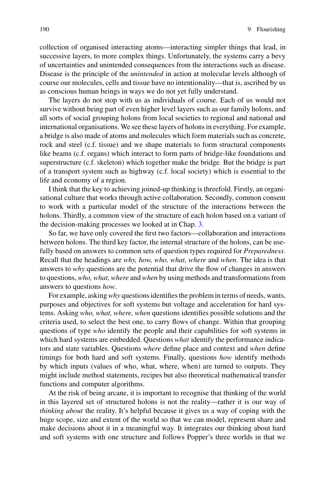collection of organised interacting atoms—interacting simpler things that lead, in successive layers, to more complex things. Unfortunately, the systems carry a bevy of uncertainties and unintended consequences from the interactions such as disease. Disease is the principle of the *unintended* in action at molecular levels although of course our molecules, cells and tissue have no intentionality—that is, ascribed by us as conscious human beings in ways we do not yet fully understand.

The layers do not stop with us as individuals of course. Each of us would not survive without being part of even higher level layers such as our family holons, and all sorts of social grouping holons from local societies to regional and national and international organisations. We see these layers of holons in everything. For example, a bridge is also made of atoms and molecules which form materials such as concrete, rock and steel (c.f. tissue) and we shape materials to form structural components like beams (c.f. organs) which interact to form parts of bridge-like foundations and superstructure (c.f. skeleton) which together make the bridge. But the bridge is part of a transport system such as highway (c.f. local society) which is essential to the life and economy of a region.

I think that the key to achieving joined-up thinking is threefold. Firstly, an organisational culture that works through active collaboration. Secondly, common consent to work with a particular model of the structure of the interactions between the holons. Thirdly, a common view of the structure of each holon based on a variant of the decision-making processes we looked at in Chap. 3.

So far, we have only covered the first two factors—collaboration and interactions between holons. The third key factor, the internal structure of the holons, can be usefully based on answers to common sets of question types required for *Preparedness*. Recall that the headings are *why, how, who, what, where* and *when*. The idea is that answers to *why* questions are the potential that drive the flow of changes in answers to questions, *who, what, where* and *when* by using methods and transformations from answers to questions *how*.

For example, asking*why* questions identifies the problem in terms of needs, wants, purposes and objectives for soft systems but voltage and acceleration for hard systems. Asking *who, what, where, when* questions identifies possible solutions and the criteria used, to select the best one, to carry flows of change. Within that grouping questions of type *who* identify the people and their capabilities for soft systems in which hard systems are embedded. Questions *what* identify the performance indicators and state variables. Questions *where* define place and context and *when* define timings for both hard and soft systems. Finally, questions *how* identify methods by which inputs (values of who, what, where, when) are turned to outputs. They might include method statements, recipes but also theoretical mathematical transfer functions and computer algorithms.

At the risk of being arcane, it is important to recognise that thinking of the world in this layered set of structured holons is not the reality—rather it is our way of *thinking about* the reality. It's helpful because it gives us a way of coping with the huge scope, size and extent of the world so that we can model, represent share and make decisions about it in a meaningful way. It integrates our thinking about hard and soft systems with one structure and follows Popper's three worlds in that we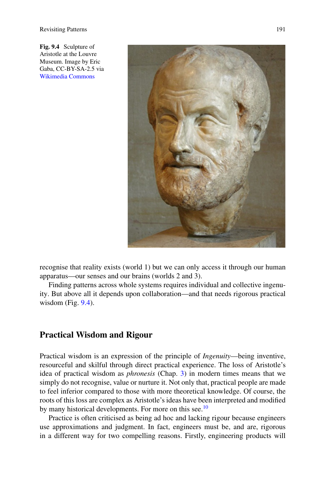<span id="page-10-0"></span>**Fig. 9.4** Sculpture of Aristotle at the Louvre Museum. Image by Eric Gaba, CC-BY-SA-2.5 via [Wikimedia Commons](https://commons.wikimedia.org/wiki/File:Aristoteles_Louvre.jpg)



recognise that reality exists (world 1) but we can only access it through our human apparatus—our senses and our brains (worlds 2 and 3).

Finding patterns across whole systems requires individual and collective ingenuity. But above all it depends upon collaboration—and that needs rigorous practical wisdom (Fig.  $9.4$ ).

#### **Practical Wisdom and Rigour**

Practical wisdom is an expression of the principle of *Ingenuity*—being inventive, resourceful and skilful through direct practical experience. The loss of Aristotle's idea of practical wisdom as *phronesis* (Chap. 3) in modern times means that we simply do not recognise, value or nurture it. Not only that, practical people are made to feel inferior compared to those with more theoretical knowledge. Of course, the roots of this loss are complex as Aristotle's ideas have been interpreted and modified by many historical developments. For more on this see.<sup>[10](#page-29-0)</sup>

Practice is often criticised as being ad hoc and lacking rigour because engineers use approximations and judgment. In fact, engineers must be, and are, rigorous in a different way for two compelling reasons. Firstly, engineering products will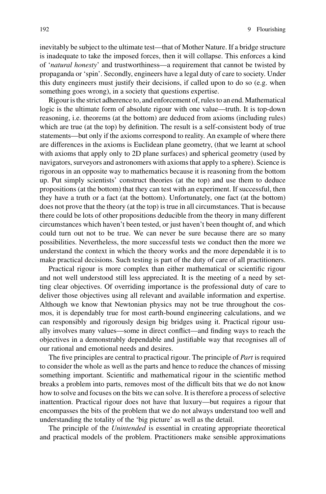inevitably be subject to the ultimate test—that of Mother Nature. If a bridge structure is inadequate to take the imposed forces, then it will collapse. This enforces a kind of '*natural honesty*' and trustworthiness—a requirement that cannot be twisted by propaganda or 'spin'. Secondly, engineers have a legal duty of care to society. Under this duty engineers must justify their decisions, if called upon to do so (e.g. when something goes wrong), in a society that questions expertise.

Rigour is the strict adherence to, and enforcement of, rules to an end. Mathematical logic is the ultimate form of absolute rigour with one value—truth. It is top-down reasoning, i.e. theorems (at the bottom) are deduced from axioms (including rules) which are true (at the top) by definition. The result is a self-consistent body of true statements—but only if the axioms correspond to reality. An example of where there are differences in the axioms is Euclidean plane geometry, (that we learnt at school with axioms that apply only to 2D plane surfaces) and spherical geometry (used by navigators, surveyors and astronomers with axioms that apply to a sphere). Science is rigorous in an opposite way to mathematics because it is reasoning from the bottom up. Put simply scientists' construct theories (at the top) and use them to deduce propositions (at the bottom) that they can test with an experiment. If successful, then they have a truth or a fact (at the bottom). Unfortunately, one fact (at the bottom) does not prove that the theory (at the top) is true in all circumstances. That is because there could be lots of other propositions deducible from the theory in many different circumstances which haven't been tested, or just haven't been thought of, and which could turn out not to be true. We can never be sure because there are so many possibilities. Nevertheless, the more successful tests we conduct then the more we understand the context in which the theory works and the more dependable it is to make practical decisions. Such testing is part of the duty of care of all practitioners.

Practical rigour is more complex than either mathematical or scientific rigour and not well understood still less appreciated. It is the meeting of a need by setting clear objectives. Of overriding importance is the professional duty of care to deliver those objectives using all relevant and available information and expertise. Although we know that Newtonian physics may not be true throughout the cosmos, it is dependably true for most earth-bound engineering calculations, and we can responsibly and rigorously design big bridges using it. Practical rigour usually involves many values—some in direct conflict—and finding ways to reach the objectives in a demonstrably dependable and justifiable way that recognises all of our rational and emotional needs and desires.

The five principles are central to practical rigour. The principle of *Part* is required to consider the whole as well as the parts and hence to reduce the chances of missing something important. Scientific and mathematical rigour in the scientific method breaks a problem into parts, removes most of the difficult bits that we do not know how to solve and focuses on the bits we can solve. It is therefore a process of selective inattention. Practical rigour does not have that luxury—but requires a rigour that encompasses the bits of the problem that we do not always understand too well and understanding the totality of the 'big picture' as well as the detail.

The principle of the *Unintended* is essential in creating appropriate theoretical and practical models of the problem. Practitioners make sensible approximations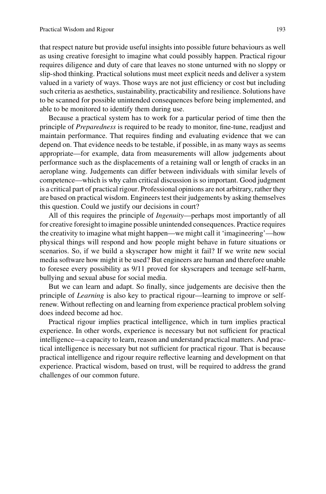that respect nature but provide useful insights into possible future behaviours as well as using creative foresight to imagine what could possibly happen. Practical rigour requires diligence and duty of care that leaves no stone unturned with no sloppy or slip-shod thinking. Practical solutions must meet explicit needs and deliver a system valued in a variety of ways. Those ways are not just efficiency or cost but including such criteria as aesthetics, sustainability, practicability and resilience. Solutions have to be scanned for possible unintended consequences before being implemented, and able to be monitored to identify them during use.

Because a practical system has to work for a particular period of time then the principle of *Preparedness* is required to be ready to monitor, fine-tune, readjust and maintain performance. That requires finding and evaluating evidence that we can depend on. That evidence needs to be testable, if possible, in as many ways as seems appropriate—for example, data from measurements will allow judgements about performance such as the displacements of a retaining wall or length of cracks in an aeroplane wing. Judgements can differ between individuals with similar levels of competence—which is why calm critical discussion is so important. Good judgment is a critical part of practical rigour. Professional opinions are not arbitrary, rather they are based on practical wisdom. Engineers test their judgements by asking themselves this question. Could we justify our decisions in court?

All of this requires the principle of *Ingenuity*—perhaps most importantly of all for creative foresight to imagine possible unintended consequences. Practice requires the creativity to imagine what might happen—we might call it 'imagineering'—how physical things will respond and how people might behave in future situations or scenarios. So, if we build a skyscraper how might it fail? If we write new social media software how might it be used? But engineers are human and therefore unable to foresee every possibility as 9/11 proved for skyscrapers and teenage self-harm, bullying and sexual abuse for social media.

But we can learn and adapt. So finally, since judgements are decisive then the principle of *Learning* is also key to practical rigour—learning to improve or selfrenew. Without reflecting on and learning from experience practical problem solving does indeed become ad hoc.

Practical rigour implies practical intelligence, which in turn implies practical experience. In other words, experience is necessary but not sufficient for practical intelligence—a capacity to learn, reason and understand practical matters. And practical intelligence is necessary but not sufficient for practical rigour. That is because practical intelligence and rigour require reflective learning and development on that experience. Practical wisdom, based on trust, will be required to address the grand challenges of our common future.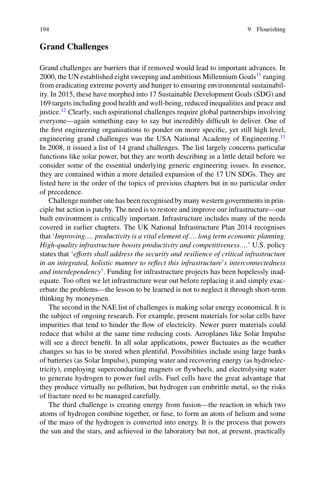## **Grand Challenges**

Grand challenges are barriers that if removed would lead to important advances. In 2000, the UN established eight sweeping and ambitious Millennium Goals<sup>[11](#page-29-0)</sup> ranging from eradicating extreme poverty and hunger to ensuring environmental sustainability. In 2015, these have morphed into 17 Sustainable Development Goals (SDG) and 169 targets including good health and well-being, reduced inequalities and peace and justice.<sup>[12](#page-29-0)</sup> Clearly, such aspirational challenges require global partnerships involving everyone—again something easy to say but incredibly difficult to deliver. One of the first engineering organisations to ponder on more specific, yet still high level, engineering grand challenges was the USA National Academy of Engineering.<sup>[13](#page-29-0)</sup> In 2008, it issued a list of 14 grand challenges. The list largely concerns particular functions like solar power, but they are worth describing in a little detail before we consider some of the essential underlying generic engineering issues. In essence, they are contained within a more detailed expansion of the 17 UN SDGs. They are listed here in the order of the topics of previous chapters but in no particular order of precedence.

Challenge number one has been recognised by many western governments in principle but action is patchy. The need is to restore and improve our infrastructure—our built environment is critically important. Infrastructure includes many of the needs covered in earlier chapters. The UK National Infrastructure Plan 2014 recognises that '*Improving…. productivity is a vital element of…. long term economic planning. High*-*quality infrastructure boosts productivity and competitiveness….*' U.S. policy states that '*efforts shall address the security and resilience of critical infrastructure in an integrated, holistic manner to reflect this infrastructure*'*s interconnectedness and interdependency*'. Funding for infrastructure projects has been hopelessly inadequate. Too often we let infrastructure wear out before replacing it and simply exacerbate the problems—the lesson to be learned is not to neglect it through short-term thinking by moneymen.

The second in the NAE list of challenges is making solar energy economical. It is the subject of ongoing research. For example, present materials for solar cells have impurities that tend to hinder the flow of electricity. Newer purer materials could reduce that whilst at the same time reducing costs. Aeroplanes like Solar Impulse will see a direct benefit. In all solar applications, power fluctuates as the weather changes so has to be stored when plentiful. Possibilities include using large banks of batteries (as Solar Impulse), pumping water and recovering energy (as hydroelectricity), employing superconducting magnets or flywheels, and electrolysing water to generate hydrogen to power fuel cells. Fuel cells have the great advantage that they produce virtually no pollution, but hydrogen can embrittle metal, so the risks of fracture need to be managed carefully.

The third challenge is creating energy from fusion—the reaction in which two atoms of hydrogen combine together, or fuse, to form an atom of helium and some of the mass of the hydrogen is converted into energy. It is the process that powers the sun and the stars, and achieved in the laboratory but not, at present, practically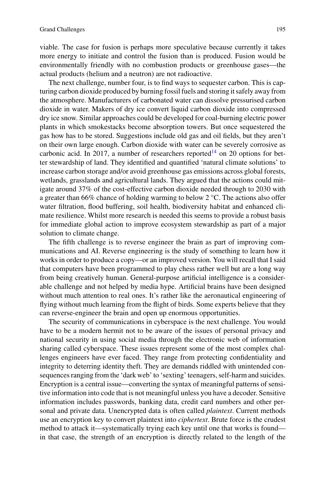viable. The case for fusion is perhaps more speculative because currently it takes more energy to initiate and control the fusion than is produced. Fusion would be environmentally friendly with no combustion products or greenhouse gases—the actual products (helium and a neutron) are not radioactive.

The next challenge, number four, is to find ways to sequester carbon. This is capturing carbon dioxide produced by burning fossil fuels and storing it safely away from the atmosphere. Manufacturers of carbonated water can dissolve pressurised carbon dioxide in water. Makers of dry ice convert liquid carbon dioxide into compressed dry ice snow. Similar approaches could be developed for coal-burning electric power plants in which smokestacks become absorption towers. But once sequestered the gas how has to be stored. Suggestions include old gas and oil fields, but they aren't on their own large enough. Carbon dioxide with water can be severely corrosive as carbonic acid. In 2017, a number of researchers reported<sup>14</sup> on 20 options for better stewardship of land. They identified and quantified 'natural climate solutions' to increase carbon storage and/or avoid greenhouse gas emissions across global forests, wetlands, grasslands and agricultural lands. They argued that the actions could mitigate around 37% of the cost-effective carbon dioxide needed through to 2030 with a greater than 66% chance of holding warming to below 2 °C. The actions also offer water filtration, flood buffering, soil health, biodiversity habitat and enhanced climate resilience. Whilst more research is needed this seems to provide a robust basis for immediate global action to improve ecosystem stewardship as part of a major solution to climate change.

The fifth challenge is to reverse engineer the brain as part of improving communications and AI. Reverse engineering is the study of something to learn how it works in order to produce a copy—or an improved version. You will recall that I said that computers have been programmed to play chess rather well but are a long way from being creatively human. General-purpose artificial intelligence is a considerable challenge and not helped by media hype. Artificial brains have been designed without much attention to real ones. It's rather like the aeronautical engineering of flying without much learning from the flight of birds. Some experts believe that they can reverse-engineer the brain and open up enormous opportunities.

The security of communications in cyberspace is the next challenge. You would have to be a modern hermit not to be aware of the issues of personal privacy and national security in using social media through the electronic web of information sharing called cyberspace. These issues represent some of the most complex challenges engineers have ever faced. They range from protecting confidentiality and integrity to deterring identity theft. They are demands riddled with unintended consequences ranging from the 'dark web' to 'sexting' teenagers, self-harm and suicides. Encryption is a central issue—converting the syntax of meaningful patterns of sensitive information into code that is not meaningful unless you have a decoder. Sensitive information includes passwords, banking data, credit card numbers and other personal and private data. Unencrypted data is often called *plaintext*. Current methods use an encryption key to convert plaintext into *ciphertext*. Brute force is the crudest method to attack it—systematically trying each key until one that works is found in that case, the strength of an encryption is directly related to the length of the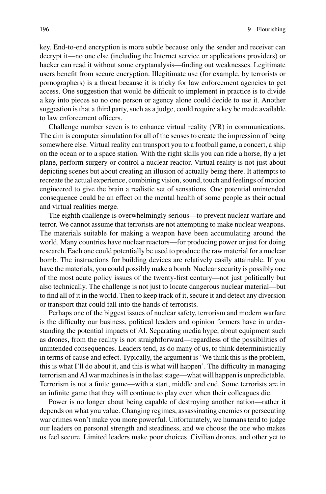key. End-to-end encryption is more subtle because only the sender and receiver can decrypt it—no one else (including the Internet service or applications providers) or hacker can read it without some cryptanalysis—finding out weaknesses. Legitimate users benefit from secure encryption. Illegitimate use (for example, by terrorists or pornographers) is a threat because it is tricky for law enforcement agencies to get access. One suggestion that would be difficult to implement in practice is to divide a key into pieces so no one person or agency alone could decide to use it. Another suggestion is that a third party, such as a judge, could require a key be made available to law enforcement officers.

Challenge number seven is to enhance virtual reality (VR) in communications. The aim is computer simulation for all of the senses to create the impression of being somewhere else. Virtual reality can transport you to a football game, a concert, a ship on the ocean or to a space station. With the right skills you can ride a horse, fly a jet plane, perform surgery or control a nuclear reactor. Virtual reality is not just about depicting scenes but about creating an illusion of actually being there. It attempts to recreate the actual experience, combining vision, sound, touch and feelings of motion engineered to give the brain a realistic set of sensations. One potential unintended consequence could be an effect on the mental health of some people as their actual and virtual realities merge.

The eighth challenge is overwhelmingly serious—to prevent nuclear warfare and terror. We cannot assume that terrorists are not attempting to make nuclear weapons. The materials suitable for making a weapon have been accumulating around the world. Many countries have nuclear reactors—for producing power or just for doing research. Each one could potentially be used to produce the raw material for a nuclear bomb. The instructions for building devices are relatively easily attainable. If you have the materials, you could possibly make a bomb. Nuclear security is possibly one of the most acute policy issues of the twenty-first century—not just politically but also technically. The challenge is not just to locate dangerous nuclear material—but to find all of it in the world. Then to keep track of it, secure it and detect any diversion or transport that could fall into the hands of terrorists.

Perhaps one of the biggest issues of nuclear safety, terrorism and modern warfare is the difficulty our business, political leaders and opinion formers have in understanding the potential impacts of AI. Separating media hype, about equipment such as drones, from the reality is not straightforward—regardless of the possibilities of unintended consequences. Leaders tend, as do many of us, to think deterministically in terms of cause and effect. Typically, the argument is 'We think this is the problem, this is what I'll do about it, and this is what will happen'. The difficulty in managing terrorism and AI war machines is in the last stage—what will happen is unpredictable. Terrorism is not a finite game—with a start, middle and end. Some terrorists are in an infinite game that they will continue to play even when their colleagues die.

Power is no longer about being capable of destroying another nation—rather it depends on what you value. Changing regimes, assassinating enemies or persecuting war crimes won't make you more powerful. Unfortunately, we humans tend to judge our leaders on personal strength and steadiness, and we choose the one who makes us feel secure. Limited leaders make poor choices. Civilian drones, and other yet to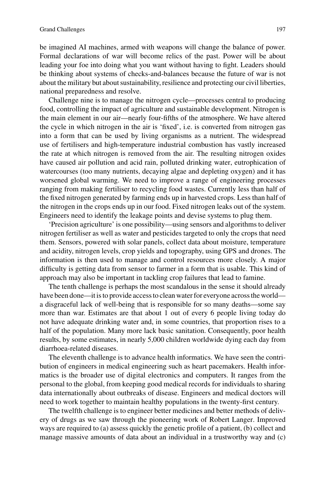be imagined AI machines, armed with weapons will change the balance of power. Formal declarations of war will become relics of the past. Power will be about leading your foe into doing what you want without having to fight. Leaders should be thinking about systems of checks-and-balances because the future of war is not about the military but about sustainability, resilience and protecting our civil liberties, national preparedness and resolve.

Challenge nine is to manage the nitrogen cycle—processes central to producing food, controlling the impact of agriculture and sustainable development. Nitrogen is the main element in our air—nearly four-fifths of the atmosphere. We have altered the cycle in which nitrogen in the air is 'fixed', i.e. is converted from nitrogen gas into a form that can be used by living organisms as a nutrient. The widespread use of fertilisers and high-temperature industrial combustion has vastly increased the rate at which nitrogen is removed from the air. The resulting nitrogen oxides have caused air pollution and acid rain, polluted drinking water, eutrophication of watercourses (too many nutrients, decaying algae and depleting oxygen) and it has worsened global warming. We need to improve a range of engineering processes ranging from making fertiliser to recycling food wastes. Currently less than half of the fixed nitrogen generated by farming ends up in harvested crops. Less than half of the nitrogen in the crops ends up in our food. Fixed nitrogen leaks out of the system. Engineers need to identify the leakage points and devise systems to plug them.

'Precision agriculture' is one possibility—using sensors and algorithms to deliver nitrogen fertiliser as well as water and pesticides targeted to only the crops that need them. Sensors, powered with solar panels, collect data about moisture, temperature and acidity, nitrogen levels, crop yields and topography, using GPS and drones. The information is then used to manage and control resources more closely. A major difficulty is getting data from sensor to farmer in a form that is usable. This kind of approach may also be important in tackling crop failures that lead to famine.

The tenth challenge is perhaps the most scandalous in the sense it should already have been done—it is to provide access to clean water for everyone across the world a disgraceful lack of well-being that is responsible for so many deaths—some say more than war. Estimates are that about 1 out of every 6 people living today do not have adequate drinking water and, in some countries, that proportion rises to a half of the population. Many more lack basic sanitation. Consequently, poor health results, by some estimates, in nearly 5,000 children worldwide dying each day from diarrhoea-related diseases.

The eleventh challenge is to advance health informatics. We have seen the contribution of engineers in medical engineering such as heart pacemakers. Health informatics is the broader use of digital electronics and computers. It ranges from the personal to the global, from keeping good medical records for individuals to sharing data internationally about outbreaks of disease. Engineers and medical doctors will need to work together to maintain healthy populations in the twenty-first century.

The twelfth challenge is to engineer better medicines and better methods of delivery of drugs as we saw through the pioneering work of Robert Langer. Improved ways are required to (a) assess quickly the genetic profile of a patient, (b) collect and manage massive amounts of data about an individual in a trustworthy way and (c)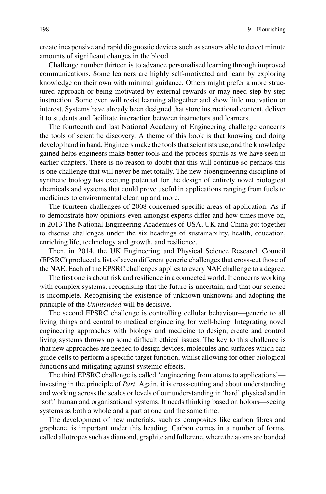create inexpensive and rapid diagnostic devices such as sensors able to detect minute amounts of significant changes in the blood.

Challenge number thirteen is to advance personalised learning through improved communications. Some learners are highly self-motivated and learn by exploring knowledge on their own with minimal guidance. Others might prefer a more structured approach or being motivated by external rewards or may need step-by-step instruction. Some even will resist learning altogether and show little motivation or interest. Systems have already been designed that store instructional content, deliver it to students and facilitate interaction between instructors and learners.

The fourteenth and last National Academy of Engineering challenge concerns the tools of scientific discovery. A theme of this book is that knowing and doing develop hand in hand. Engineers make the tools that scientists use, and the knowledge gained helps engineers make better tools and the process spirals as we have seen in earlier chapters. There is no reason to doubt that this will continue so perhaps this is one challenge that will never be met totally. The new bioengineering discipline of synthetic biology has exciting potential for the design of entirely novel biological chemicals and systems that could prove useful in applications ranging from fuels to medicines to environmental clean up and more.

The fourteen challenges of 2008 concerned specific areas of application. As if to demonstrate how opinions even amongst experts differ and how times move on, in 2013 The National Engineering Academies of USA, UK and China got together to discuss challenges under the six headings of sustainability, health, education, enriching life, technology and growth, and resilience.

Then, in 2014, the UK Engineering and Physical Science Research Council (EPSRC) produced a list of seven different generic challenges that cross-cut those of the NAE. Each of the EPSRC challenges applies to every NAE challenge to a degree.

The first one is about risk and resilience in a connected world. It concerns working with complex systems, recognising that the future is uncertain, and that our science is incomplete. Recognising the existence of unknown unknowns and adopting the principle of the *Unintended* will be decisive.

The second EPSRC challenge is controlling cellular behaviour—generic to all living things and central to medical engineering for well-being. Integrating novel engineering approaches with biology and medicine to design, create and control living systems throws up some difficult ethical issues. The key to this challenge is that new approaches are needed to design devices, molecules and surfaces which can guide cells to perform a specific target function, whilst allowing for other biological functions and mitigating against systemic effects.

The third EPSRC challenge is called 'engineering from atoms to applications' investing in the principle of *Part*. Again, it is cross-cutting and about understanding and working across the scales or levels of our understanding in 'hard' physical and in 'soft' human and organisational systems. It needs thinking based on holons—seeing systems as both a whole and a part at one and the same time.

The development of new materials, such as composites like carbon fibres and graphene, is important under this heading. Carbon comes in a number of forms, called allotropes such as diamond, graphite and fullerene, where the atoms are bonded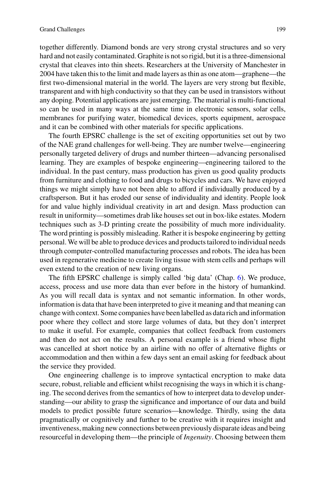together differently. Diamond bonds are very strong crystal structures and so very hard and not easily contaminated. Graphite is not so rigid, but it is a three-dimensional crystal that cleaves into thin sheets. Researchers at the University of Manchester in 2004 have taken this to the limit and made layers as thin as one atom—graphene—the first two-dimensional material in the world. The layers are very strong but flexible, transparent and with high conductivity so that they can be used in transistors without any doping. Potential applications are just emerging. The material is multi-functional so can be used in many ways at the same time in electronic sensors, solar cells, membranes for purifying water, biomedical devices, sports equipment, aerospace and it can be combined with other materials for specific applications.

The fourth EPSRC challenge is the set of exciting opportunities set out by two of the NAE grand challenges for well-being. They are number twelve—engineering personally targeted delivery of drugs and number thirteen—advancing personalised learning. They are examples of bespoke engineering—engineering tailored to the individual. In the past century, mass production has given us good quality products from furniture and clothing to food and drugs to bicycles and cars. We have enjoyed things we might simply have not been able to afford if individually produced by a craftsperson. But it has eroded our sense of individuality and identity. People look for and value highly individual creativity in art and design. Mass production can result in uniformity—sometimes drab like houses set out in box-like estates. Modern techniques such as 3-D printing create the possibility of much more individuality. The word printing is possibly misleading. Rather it is bespoke engineering by getting personal. We will be able to produce devices and products tailored to individual needs through computer-controlled manufacturing processes and robots. The idea has been used in regenerative medicine to create living tissue with stem cells and perhaps will even extend to the creation of new living organs.

The fifth EPSRC challenge is simply called 'big data' (Chap. 6). We produce, access, process and use more data than ever before in the history of humankind. As you will recall data is syntax and not semantic information. In other words, information is data that have been interpreted to give it meaning and that meaning can change with context. Some companies have been labelled as data rich and information poor where they collect and store large volumes of data, but they don't interpret to make it useful. For example, companies that collect feedback from customers and then do not act on the results. A personal example is a friend whose flight was cancelled at short notice by an airline with no offer of alternative flights or accommodation and then within a few days sent an email asking for feedback about the service they provided.

One engineering challenge is to improve syntactical encryption to make data secure, robust, reliable and efficient whilst recognising the ways in which it is changing. The second derives from the semantics of how to interpret data to develop understanding—our ability to grasp the significance and importance of our data and build models to predict possible future scenarios—knowledge. Thirdly, using the data pragmatically or cognitively and further to be creative with it requires insight and inventiveness, making new connections between previously disparate ideas and being resourceful in developing them—the principle of *Ingenuity*. Choosing between them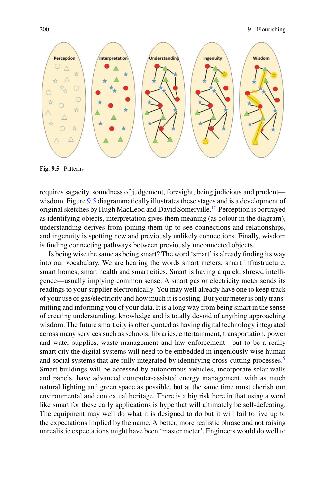

<span id="page-19-0"></span>**Fig. 9.5** Patterns

requires sagacity, soundness of judgement, foresight, being judicious and prudent wisdom. Figure [9.5](#page-19-0) diagrammatically illustrates these stages and is a development of original sketches by Hugh MacLeod and David Somerville.<sup>15</sup> Perception is portrayed as identifying objects, interpretation gives them meaning (as colour in the diagram), understanding derives from joining them up to see connections and relationships, and ingenuity is spotting new and previously unlikely connections. Finally, wisdom is finding connecting pathways between previously unconnected objects.

Is being wise the same as being smart? The word 'smart' is already finding its way into our vocabulary. We are hearing the words smart meters, smart infrastructure, smart homes, smart health and smart cities. Smart is having a quick, shrewd intelligence—usually implying common sense. A smart gas or electricity meter sends its readings to your supplier electronically. You may well already have one to keep track of your use of gas/electricity and how much it is costing. But your meter is only transmitting and informing you of your data. It is a long way from being smart in the sense of creating understanding, knowledge and is totally devoid of anything approaching wisdom. The future smart city is often quoted as having digital technology integrated across many services such as schools, libraries, entertainment, transportation, power and water supplies, waste management and law enforcement—but to be a really smart city the digital systems will need to be embedded in ingeniously wise human and social systems that are fully integrated by identifying cross-cutting processes.<sup>[5](#page-29-0)</sup> Smart buildings will be accessed by autonomous vehicles, incorporate solar walls and panels, have advanced computer-assisted energy management, with as much natural lighting and green space as possible, but at the same time must cherish our environmental and contextual heritage. There is a big risk here in that using a word like smart for these early applications is hype that will ultimately be self-defeating. The equipment may well do what it is designed to do but it will fail to live up to the expectations implied by the name. A better, more realistic phrase and not raising unrealistic expectations might have been 'master meter'. Engineers would do well to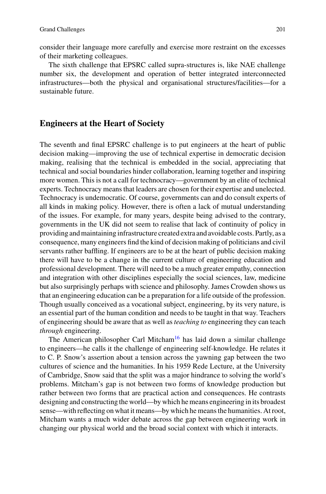consider their language more carefully and exercise more restraint on the excesses of their marketing colleagues.

The sixth challenge that EPSRC called supra-structures is, like NAE challenge number six, the development and operation of better integrated interconnected infrastructures—both the physical and organisational structures/facilities—for a sustainable future.

#### **Engineers at the Heart of Society**

The seventh and final EPSRC challenge is to put engineers at the heart of public decision making—improving the use of technical expertise in democratic decision making, realising that the technical is embedded in the social, appreciating that technical and social boundaries hinder collaboration, learning together and inspiring more women. This is not a call for technocracy—government by an elite of technical experts. Technocracy means that leaders are chosen for their expertise and unelected. Technocracy is undemocratic. Of course, governments can and do consult experts of all kinds in making policy. However, there is often a lack of mutual understanding of the issues. For example, for many years, despite being advised to the contrary, governments in the UK did not seem to realise that lack of continuity of policy in providing and maintaining infrastructure created extra and avoidable costs. Partly, as a consequence, many engineers find the kind of decision making of politicians and civil servants rather baffling. If engineers are to be at the heart of public decision making there will have to be a change in the current culture of engineering education and professional development. There will need to be a much greater empathy, connection and integration with other disciplines especially the social sciences, law, medicine but also surprisingly perhaps with science and philosophy. James Crowden shows us that an engineering education can be a preparation for a life outside of the profession. Though usually conceived as a vocational subject, engineering, by its very nature, is an essential part of the human condition and needs to be taught in that way. Teachers of engineering should be aware that as well as *teaching to* engineering they can teach *through* engineering.

The American philosopher Carl Mitcham<sup>[16](#page-29-0)</sup> has laid down a similar challenge to engineers—he calls it the challenge of engineering self-knowledge. He relates it to C. P. Snow's assertion about a tension across the yawning gap between the two cultures of science and the humanities. In his 1959 Rede Lecture, at the University of Cambridge, Snow said that the split was a major hindrance to solving the world's problems. Mitcham's gap is not between two forms of knowledge production but rather between two forms that are practical action and consequences. He contrasts designing and constructing the world—by which he means engineering in its broadest sense—with reflecting on what it means—by which he means the humanities. At root, Mitcham wants a much wider debate across the gap between engineering work in changing our physical world and the broad social context with which it interacts.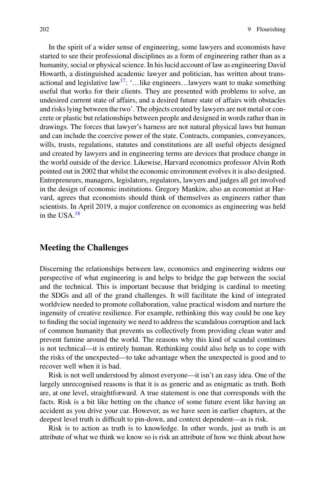In the spirit of a wider sense of engineering, some lawyers and economists have started to see their professional disciplines as a form of engineering rather than as a humanity, social or physical science. In his lucid account of law as engineering David Howarth, a distinguished academic lawyer and politician, has written about transactional and legislative  $law^{17}$ : '... like engineers... lawyers want to make something useful that works for their clients. They are presented with problems to solve, an undesired current state of affairs, and a desired future state of affairs with obstacles and risks lying between the two'. The objects created by lawyers are not metal or concrete or plastic but relationships between people and designed in words rather than in drawings. The forces that lawyer's harness are not natural physical laws but human and can include the coercive power of the state. Contracts, companies, conveyances, wills, trusts, regulations, statutes and constitutions are all useful objects designed and created by lawyers and in engineering terms are devices that produce change in the world outside of the device. Likewise, Harvard economics professor Alvin Roth pointed out in 2002 that whilst the economic environment evolves it is also designed. Entrepreneurs, managers, legislators, regulators, lawyers and judges all get involved in the design of economic institutions. Gregory Mankiw, also an economist at Harvard, agrees that economists should think of themselves as engineers rather than scientists. In April 2019, a major conference on economics as engineering was held in the USA  $18$ 

## **Meeting the Challenges**

Discerning the relationships between law, economics and engineering widens our perspective of what engineering is and helps to bridge the gap between the social and the technical. This is important because that bridging is cardinal to meeting the SDGs and all of the grand challenges. It will facilitate the kind of integrated worldview needed to promote collaboration, value practical wisdom and nurture the ingenuity of creative resilience. For example, rethinking this way could be one key to finding the social ingenuity we need to address the scandalous corruption and lack of common humanity that prevents us collectively from providing clean water and prevent famine around the world. The reasons why this kind of scandal continues is not technical—it is entirely human. Rethinking could also help us to cope with the risks of the unexpected—to take advantage when the unexpected is good and to recover well when it is bad.

Risk is not well understood by almost everyone—it isn't an easy idea. One of the largely unrecognised reasons is that it is as generic and as enigmatic as truth. Both are, at one level, straightforward. A true statement is one that corresponds with the facts. Risk is a bit like betting on the chance of some future event like having an accident as you drive your car. However, as we have seen in earlier chapters, at the deepest level truth is difficult to pin-down, and context dependent—as is risk.

Risk is to action as truth is to knowledge. In other words, just as truth is an attribute of what we think we know so is risk an attribute of how we think about how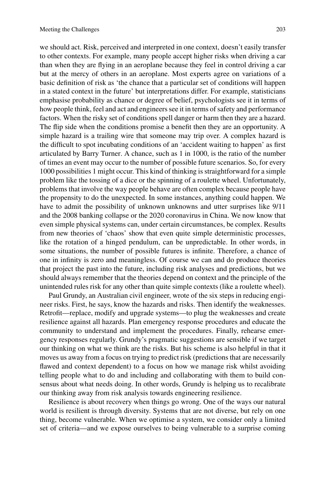we should act. Risk, perceived and interpreted in one context, doesn't easily transfer to other contexts. For example, many people accept higher risks when driving a car than when they are flying in an aeroplane because they feel in control driving a car but at the mercy of others in an aeroplane. Most experts agree on variations of a basic definition of risk as 'the chance that a particular set of conditions will happen in a stated context in the future' but interpretations differ. For example, statisticians emphasise probability as chance or degree of belief, psychologists see it in terms of how people think, feel and act and engineers see it in terms of safety and performance factors. When the risky set of conditions spell danger or harm then they are a hazard. The flip side when the conditions promise a benefit then they are an opportunity. A simple hazard is a trailing wire that someone may trip over. A complex hazard is the difficult to spot incubating conditions of an 'accident waiting to happen' as first articulated by Barry Turner. A chance, such as 1 in 1000, is the ratio of the number of times an event may occur to the number of possible future scenarios. So, for every 1000 possibilities 1 might occur. This kind of thinking is straightforward for a simple problem like the tossing of a dice or the spinning of a roulette wheel. Unfortunately, problems that involve the way people behave are often complex because people have the propensity to do the unexpected. In some instances, anything could happen. We have to admit the possibility of unknown unknowns and utter surprises like 9/11 and the 2008 banking collapse or the 2020 coronavirus in China. We now know that even simple physical systems can, under certain circumstances, be complex. Results from new theories of 'chaos' show that even quite simple deterministic processes, like the rotation of a hinged pendulum, can be unpredictable. In other words, in some situations, the number of possible futures is infinite. Therefore, a chance of one in infinity is zero and meaningless. Of course we can and do produce theories that project the past into the future, including risk analyses and predictions, but we should always remember that the theories depend on context and the principle of the unintended rules risk for any other than quite simple contexts (like a roulette wheel).

Paul Grundy, an Australian civil engineer, wrote of the six steps in reducing engineer risks. First, he says, know the hazards and risks. Then identify the weaknesses. Retrofit—replace, modify and upgrade systems—to plug the weaknesses and create resilience against all hazards. Plan emergency response procedures and educate the community to understand and implement the procedures. Finally, rehearse emergency responses regularly. Grundy's pragmatic suggestions are sensible if we target our thinking on what we think are the risks. But his scheme is also helpful in that it moves us away from a focus on trying to predict risk (predictions that are necessarily flawed and context dependent) to a focus on how we manage risk whilst avoiding telling people what to do and including and collaborating with them to build consensus about what needs doing. In other words, Grundy is helping us to recalibrate our thinking away from risk analysis towards engineering resilience.

Resilience is about recovery when things go wrong. One of the ways our natural world is resilient is through diversity. Systems that are not diverse, but rely on one thing, become vulnerable. When we optimise a system, we consider only a limited set of criteria—and we expose ourselves to being vulnerable to a surprise coming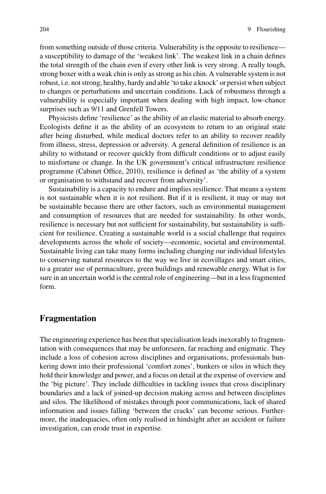from something outside of those criteria. Vulnerability is the opposite to resilience a susceptibility to damage of the 'weakest link'. The weakest link in a chain defines the total strength of the chain even if every other link is very strong. A really tough, strong boxer with a weak chin is only as strong as his chin. A vulnerable system is not robust, i.e. not strong, healthy, hardy and able 'to take a knock' or persist when subject to changes or perturbations and uncertain conditions. Lack of robustness through a vulnerability is especially important when dealing with high impact, low-chance surprises such as 9/11 and Grenfell Towers.

Physicists define 'resilience' as the ability of an elastic material to absorb energy. Ecologists define it as the ability of an ecosystem to return to an original state after being disturbed, while medical doctors refer to an ability to recover readily from illness, stress, depression or adversity. A general definition of resilience is an ability to withstand or recover quickly from difficult conditions or to adjust easily to misfortune or change. In the UK government's critical infrastructure resilience programme (Cabinet Office, 2010), resilience is defined as 'the ability of a system or organisation to withstand and recover from adversity'.

Sustainability is a capacity to endure and implies resilience. That means a system is not sustainable when it is not resilient. But if it is resilient, it may or may not be sustainable because there are other factors, such as environmental management and consumption of resources that are needed for sustainability. In other words, resilience is necessary but not sufficient for sustainability, but sustainability is sufficient for resilience. Creating a sustainable world is a social challenge that requires developments across the whole of society—economic, societal and environmental. Sustainable living can take many forms including changing our individual lifestyles to conserving natural resources to the way we live in ecovillages and smart cities, to a greater use of permaculture, green buildings and renewable energy. What is for sure in an uncertain world is the central role of engineering—but in a less fragmented form.

#### **Fragmentation**

The engineering experience has been that specialisation leads inexorably to fragmentation with consequences that may be unforeseen, far reaching and enigmatic. They include a loss of cohesion across disciplines and organisations, professionals hunkering down into their professional 'comfort zones', bunkers or silos in which they hold their knowledge and power, and a focus on detail at the expense of overview and the 'big picture'. They include difficulties in tackling issues that cross disciplinary boundaries and a lack of joined-up decision making across and between disciplines and silos. The likelihood of mistakes through poor communications, lack of shared information and issues falling 'between the cracks' can become serious. Furthermore, the inadequacies, often only realised in hindsight after an accident or failure investigation, can erode trust in expertise.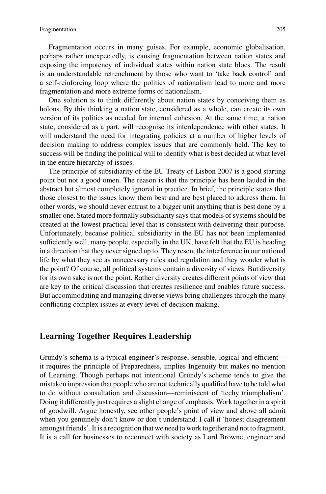Fragmentation occurs in many guises. For example, economic globalisation, perhaps rather unexpectedly, is causing fragmentation between nation states and exposing the impotency of individual states within nation state blocs. The result is an understandable retrenchment by those who want to 'take back control' and a self-reinforcing loop where the politics of nationalism lead to more and more fragmentation and more extreme forms of nationalism.

One solution is to think differently about nation states by conceiving them as holons. By this thinking a nation state, considered as a whole, can create its own version of its politics as needed for internal cohesion. At the same time, a nation state, considered as a part, will recognise its interdependence with other states. It will understand the need for integrating policies at a number of higher levels of decision making to address complex issues that are commonly held. The key to success will be finding the political will to identify what is best decided at what level in the entire hierarchy of issues.

The principle of subsidiarity of the EU Treaty of Lisbon 2007 is a good starting point but not a good omen. The reason is that the principle has been lauded in the abstract but almost completely ignored in practice. In brief, the principle states that those closest to the issues know them best and are best placed to address them. In other words, we should never entrust to a bigger unit anything that is best done by a smaller one. Stated more formally subsidiarity says that models of systems should be created at the lowest practical level that is consistent with delivering their purpose. Unfortunately, because political subsidiarity in the EU has not been implemented sufficiently well, many people, especially in the UK, have felt that the EU is heading in a direction that they never signed up to. They resent the interference in our national life by what they see as unnecessary rules and regulation and they wonder what is the point? Of course, all political systems contain a diversity of views. But diversity for its own sake is not the point. Rather diversity creates different points of view that are key to the critical discussion that creates resilience and enables future success. But accommodating and managing diverse views bring challenges through the many conflicting complex issues at every level of decision making.

#### **Learning Together Requires Leadership**

Grundy's schema is a typical engineer's response, sensible, logical and efficient it requires the principle of Preparedness, implies Ingenuity but makes no mention of Learning. Though perhaps not intentional Grundy's scheme tends to give the mistaken impression that people who are not technically qualified have to be told what to do without consultation and discussion—reminiscent of 'techy triumphalism'. Doing it differently just requires a slight change of emphasis. Work together in a spirit of goodwill. Argue honestly, see other people's point of view and above all admit when you genuinely don't know or don't understand. I call it 'honest disagreement amongst friends'. It is a recognition that we need to work together and not to fragment. It is a call for businesses to reconnect with society as Lord Browne, engineer and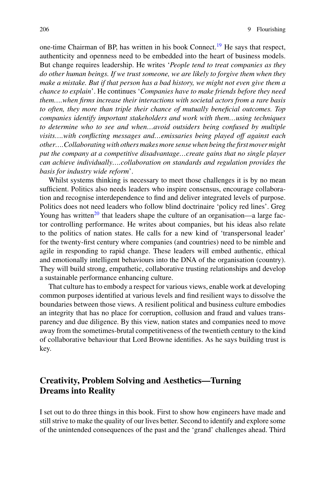one-time Chairman of BP, has written in his book Connect.[19](#page-29-0) He says that respect, authenticity and openness need to be embedded into the heart of business models. But change requires leadership. He writes '*People tend to treat companies as they do other human beings. If we trust someone, we are likely to forgive them when they make a mistake. But if that person has a bad history, we might not even give them a chance to explain*'. He continues '*Companies have to make friends before they need them….when firms increase their interactions with societal actors from a rare basis to often, they more than triple their chance of mutually beneficial outcomes. Top companies identify important stakeholders and work with them…using techniques to determine who to see and when…avoid outsiders being confused by multiple visits….with conflicting messages and…emissaries being played off against each other….Collaborating with others makes more sense when being the first mover might put the company at a competitive disadvantage…create gains that no single player can achieve individually….collaboration on standards and regulation provides the basis for industry wide reform*'.

Whilst systems thinking is necessary to meet those challenges it is by no mean sufficient. Politics also needs leaders who inspire consensus, encourage collaboration and recognise interdependence to find and deliver integrated levels of purpose. Politics does not need leaders who follow blind doctrinaire 'policy red lines'. Greg Young has written<sup>20</sup> that leaders shape the culture of an organisation—a large factor controlling performance. He writes about companies, but his ideas also relate to the politics of nation states. He calls for a new kind of 'transpersonal leader' for the twenty-first century where companies (and countries) need to be nimble and agile in responding to rapid change. These leaders will embed authentic, ethical and emotionally intelligent behaviours into the DNA of the organisation (country). They will build strong, empathetic, collaborative trusting relationships and develop a sustainable performance enhancing culture.

That culture has to embody a respect for various views, enable work at developing common purposes identified at various levels and find resilient ways to dissolve the boundaries between those views. A resilient political and business culture embodies an integrity that has no place for corruption, collusion and fraud and values transparency and due diligence. By this view, nation states and companies need to move away from the sometimes-brutal competitiveness of the twentieth century to the kind of collaborative behaviour that Lord Browne identifies. As he says building trust is key.

## **Creativity, Problem Solving and Aesthetics—Turning Dreams into Reality**

I set out to do three things in this book. First to show how engineers have made and still strive to make the quality of our lives better. Second to identify and explore some of the unintended consequences of the past and the 'grand' challenges ahead. Third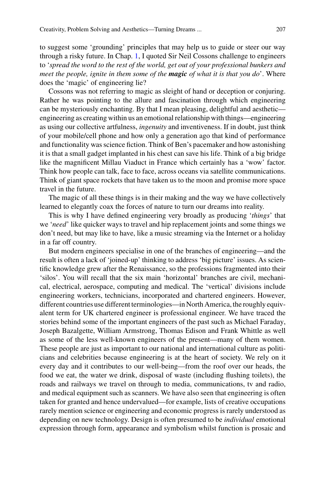to suggest some 'grounding' principles that may help us to guide or steer our way through a risky future. In Chap. 1, I quoted Sir Neil Cossons challenge to engineers to '*spread the word to the rest of the world, get out of your professional bunkers and meet the people, ignite in them some of the magic of what it is that you do*'. Where does the 'magic' of engineering lie?

Cossons was not referring to magic as sleight of hand or deception or conjuring. Rather he was pointing to the allure and fascination through which engineering can be mysteriously enchanting. By that I mean pleasing, delightful and aesthetic engineering as creating within us an emotional relationship with things—engineering as using our collective artfulness, *ingenuity* and inventiveness. If in doubt, just think of your mobile/cell phone and how only a generation ago that kind of performance and functionality was science fiction. Think of Ben's pacemaker and how astonishing it is that a small gadget implanted in his chest can save his life. Think of a big bridge like the magnificent Millau Viaduct in France which certainly has a 'wow' factor. Think how people can talk, face to face, across oceans via satellite communications. Think of giant space rockets that have taken us to the moon and promise more space travel in the future.

The magic of all these things is in their making and the way we have collectively learned to elegantly coax the forces of nature to turn our dreams into reality.

This is why I have defined engineering very broadly as producing '*things*' that we '*need*' like quicker ways to travel and hip replacement joints and some things we don't need, but may like to have, like a music streaming via the Internet or a holiday in a far off country.

But modern engineers specialise in one of the branches of engineering—and the result is often a lack of 'joined-up' thinking to address 'big picture' issues. As scientific knowledge grew after the Renaissance, so the professions fragmented into their 'silos'. You will recall that the six main 'horizontal' branches are civil, mechanical, electrical, aerospace, computing and medical. The 'vertical' divisions include engineering workers, technicians, incorporated and chartered engineers. However, different countries use different terminologies—in North America, the roughly equivalent term for UK chartered engineer is professional engineer. We have traced the stories behind some of the important engineers of the past such as Michael Faraday, Joseph Bazalgette, William Armstrong, Thomas Edison and Frank Whittle as well as some of the less well-known engineers of the present—many of them women. These people are just as important to our national and international culture as politicians and celebrities because engineering is at the heart of society. We rely on it every day and it contributes to our well-being—from the roof over our heads, the food we eat, the water we drink, disposal of waste (including flushing toilets), the roads and railways we travel on through to media, communications, tv and radio, and medical equipment such as scanners. We have also seen that engineering is often taken for granted and hence undervalued—for example, lists of creative occupations rarely mention science or engineering and economic progress is rarely understood as depending on new technology. Design is often presumed to be *individual* emotional expression through form, appearance and symbolism whilst function is prosaic and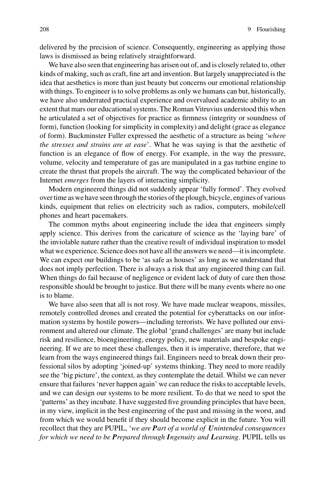delivered by the precision of science. Consequently, engineering as applying those laws is dismissed as being relatively straightforward.

We have also seen that engineering has arisen out of, and is closely related to, other kinds of making, such as craft, fine art and invention. But largely unappreciated is the idea that aesthetics is more than just beauty but concerns our emotional relationship with things. To engineer is to solve problems as only we humans can but, historically, we have also underrated practical experience and overvalued academic ability to an extent that mars our educational systems. The Roman Vitruvius understood this when he articulated a set of objectives for practice as firmness (integrity or soundness of form), function (looking for simplicity in complexity) and delight (grace as elegance of form). Buckminster Fuller expressed the aesthetic of a structure as being '*where the stresses and strains are at ease*'. What he was saying is that the aesthetic of function is an elegance of flow of energy. For example, in the way the pressure, volume, velocity and temperature of gas are manipulated in a gas turbine engine to create the thrust that propels the aircraft. The way the complicated behaviour of the Internet *emerges* from the layers of interacting simplicity.

Modern engineered things did not suddenly appear 'fully formed'. They evolved over time as we have seen through the stories of the plough, bicycle, engines of various kinds, equipment that relies on electricity such as radios, computers, mobile/cell phones and heart pacemakers.

The common myths about engineering include the idea that engineers simply apply science. This derives from the caricature of science as the 'laying bare' of the inviolable nature rather than the creative result of individual inspiration to model what we experience. Science does not have all the answers we need—it is incomplete. We can expect our buildings to be 'as safe as houses' as long as we understand that does not imply perfection. There is always a risk that any engineered thing can fail. When things do fail because of negligence or evident lack of duty of care then those responsible should be brought to justice. But there will be many events where no one is to blame.

We have also seen that all is not rosy. We have made nuclear weapons, missiles, remotely controlled drones and created the potential for cyberattacks on our information systems by hostile powers—including terrorists. We have polluted our environment and altered our climate. The global 'grand challenges' are many but include risk and resilience, bioengineering, energy policy, new materials and bespoke engineering. If we are to meet these challenges, then it is imperative, therefore, that we learn from the ways engineered things fail. Engineers need to break down their professional silos by adopting 'joined-up' systems thinking. They need to more readily see the 'big picture', the context, as they contemplate the detail. Whilst we can never ensure that failures 'never happen again' we can reduce the risks to acceptable levels, and we can design our systems to be more resilient. To do that we need to spot the 'patterns' as they incubate. I have suggested five grounding principles that have been, in my view, implicit in the best engineering of the past and missing in the worst, and from which we would benefit if they should become explicit in the future. You will recollect that they are PUPIL, '*we are Part of a world of Unintended consequences for which we need to be Prepared through Ingenuity and Learning*. PUPIL tells us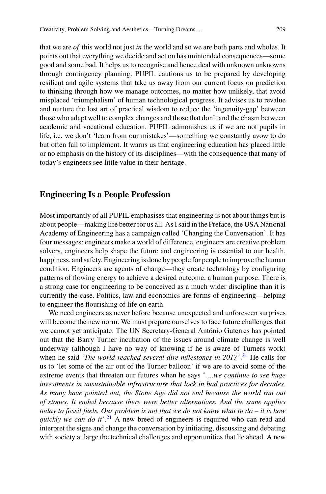that we are *of* this world not just *in* the world and so we are both parts and wholes. It points out that everything we decide and act on has unintended consequences—some good and some bad. It helps us to recognise and hence deal with unknown unknowns through contingency planning. PUPIL cautions us to be prepared by developing resilient and agile systems that take us away from our current focus on prediction to thinking through how we manage outcomes, no matter how unlikely, that avoid misplaced 'triumphalism' of human technological progress. It advises us to revalue and nurture the lost art of practical wisdom to reduce the 'ingenuity-gap' between those who adapt well to complex changes and those that don't and the chasm between academic and vocational education. PUPIL admonishes us if we are not pupils in life, i.e. we don't 'learn from our mistakes'—something we constantly avow to do but often fail to implement. It warns us that engineering education has placed little or no emphasis on the history of its disciplines—with the consequence that many of today's engineers see little value in their heritage.

#### **Engineering Is a People Profession**

Most importantly of all PUPIL emphasises that engineering is not about things but is about people—making life better for us all. As I said in the Preface, the USA National Academy of Engineering has a campaign called 'Changing the Conversation'. It has four messages: engineers make a world of difference, engineers are creative problem solvers, engineers help shape the future and engineering is essential to our health, happiness, and safety. Engineering is done by people for people to improve the human condition. Engineers are agents of change—they create technology by configuring patterns of flowing energy to achieve a desired outcome, a human purpose. There is a strong case for engineering to be conceived as a much wider discipline than it is currently the case. Politics, law and economics are forms of engineering—helping to engineer the flourishing of life on earth.

We need engineers as never before because unexpected and unforeseen surprises will become the new norm. We must prepare ourselves to face future challenges that we cannot yet anticipate. The UN Secretary-General António Guterres has pointed out that the Barry Turner incubation of the issues around climate change is well underway (although I have no way of knowing if he is aware of Turners work) when he said '*The world reached several dire milestones in 2017*'.<sup>21</sup> He calls for us to 'let some of the air out of the Turner balloon' if we are to avoid some of the extreme events that threaten our futures when he says '*….we continue to see huge investments in unsustainable infrastructure that lock in bad practices for decades. As many have pointed out, the Stone Age did not end because the world ran out of stones. It ended because there were better alternatives. And the same applies today to fossil fuels. Our problem is not that we do not know what to do* – *it is how quickly we can do it'*.<sup>[21](#page-29-0)</sup> A new breed of engineers is required who can read and interpret the signs and change the conversation by initiating, discussing and debating with society at large the technical challenges and opportunities that lie ahead. A new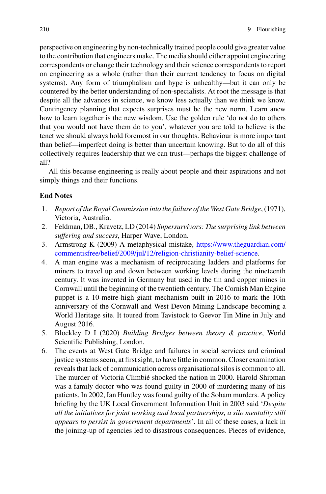perspective on engineering by non-technically trained people could give greater value to the contribution that engineers make. The media should either appoint engineering correspondents or change their technology and their science correspondents to report on engineering as a whole (rather than their current tendency to focus on digital systems). Any form of triumphalism and hype is unhealthy—but it can only be countered by the better understanding of non-specialists. At root the message is that despite all the advances in science, we know less actually than we think we know. Contingency planning that expects surprises must be the new norm. Learn anew how to learn together is the new wisdom. Use the golden rule 'do not do to others that you would not have them do to you', whatever you are told to believe is the tenet we should always hold foremost in our thoughts. Behaviour is more important than belief—imperfect doing is better than uncertain knowing. But to do all of this collectively requires leadership that we can trust—perhaps the biggest challenge of all?

All this because engineering is really about people and their aspirations and not simply things and their functions.

#### <span id="page-29-0"></span>**End Notes**

- 1. *Report of the Royal Commission into the failure of the West Gate Bridge*, (1971), Victoria, Australia.
- 2. Feldman, DB., Kravetz, LD (2014) *Supersurvivors: The surprising link between suffering and success*, Harper Wave, London.
- 3. Armstrong K (2009) A metaphysical mistake, https://www.theguardian.com/ [commentisfree/belief/2009/jul/12/religion-christianity-belief-science.](https://www.theguardian.com/commentisfree/belief/2009/jul/12/religion-christianity-belief-science)
- 4. A man engine was a mechanism of reciprocating ladders and platforms for miners to travel up and down between working levels during the nineteenth century. It was invented in Germany but used in the tin and copper mines in Cornwall until the beginning of the twentieth century. The Cornish Man Engine puppet is a 10-metre-high giant mechanism built in 2016 to mark the 10th anniversary of the Cornwall and West Devon Mining Landscape becoming a World Heritage site. It toured from Tavistock to Geevor Tin Mine in July and August 2016.
- 5. Blockley D I (2020) *Building Bridges between theory & practice*, World Scientific Publishing, London.
- 6. The events at West Gate Bridge and failures in social services and criminal justice systems seem, at first sight, to have little in common. Closer examination reveals that lack of communication across organisational silos is common to all. The murder of Victoria Climbié shocked the nation in 2000. Harold Shipman was a family doctor who was found guilty in 2000 of murdering many of his patients. In 2002, Ian Huntley was found guilty of the Soham murders. A policy briefing by the UK Local Government Information Unit in 2003 said '*Despite all the initiatives for joint working and local partnerships, a silo mentality still appears to persist in government departments*'. In all of these cases, a lack in the joining-up of agencies led to disastrous consequences. Pieces of evidence,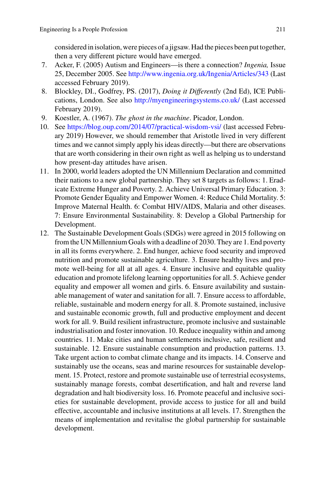considered in isolation, were pieces of a jigsaw. Had the pieces been put together, then a very different picture would have emerged.

- 7. Acker, F. (2005) Autism and Engineers—is there a connection? *Ingenia,* Issue 25, December 2005. See <http://www.ingenia.org.uk/Ingenia/Articles/343> (Last accessed February 2019).
- 8. Blockley, DI., Godfrey, PS. (2017), *Doing it Differently* (2nd Ed), ICE Publications, London. See also <http://myengineeringsystems.co.uk/> (Last accessed February 2019).
- 9. Koestler, A. (1967). *The ghost in the machine*. Picador, London.
- 10. See <https://blog.oup.com/2014/07/practical-wisdom-vsi/> (last accessed February 2019) However, we should remember that Aristotle lived in very different times and we cannot simply apply his ideas directly—but there are observations that are worth considering in their own right as well as helping us to understand how present-day attitudes have arisen.
- 11. In 2000, world leaders adopted the UN Millennium Declaration and committed their nations to a new global partnership. They set 8 targets as follows: 1. Eradicate Extreme Hunger and Poverty. 2. Achieve Universal Primary Education. 3: Promote Gender Equality and Empower Women. 4: Reduce Child Mortality. 5: Improve Maternal Health. 6: Combat HIV/AIDS, Malaria and other diseases. 7: Ensure Environmental Sustainability. 8: Develop a Global Partnership for Development.
- 12. The Sustainable Development Goals (SDGs) were agreed in 2015 following on from the UN Millennium Goals with a deadline of 2030. They are 1. End poverty in all its forms everywhere. 2. End hunger, achieve food security and improved nutrition and promote sustainable agriculture. 3. Ensure healthy lives and promote well-being for all at all ages. 4. Ensure inclusive and equitable quality education and promote lifelong learning opportunities for all. 5. Achieve gender equality and empower all women and girls. 6. Ensure availability and sustainable management of water and sanitation for all. 7. Ensure access to affordable, reliable, sustainable and modern energy for all. 8. Promote sustained, inclusive and sustainable economic growth, full and productive employment and decent work for all. 9. Build resilient infrastructure, promote inclusive and sustainable industrialisation and foster innovation. 10. Reduce inequality within and among countries. 11. Make cities and human settlements inclusive, safe, resilient and sustainable. 12. Ensure sustainable consumption and production patterns. 13. Take urgent action to combat climate change and its impacts. 14. Conserve and sustainably use the oceans, seas and marine resources for sustainable development. 15. Protect, restore and promote sustainable use of terrestrial ecosystems, sustainably manage forests, combat desertification, and halt and reverse land degradation and halt biodiversity loss. 16. Promote peaceful and inclusive societies for sustainable development, provide access to justice for all and build effective, accountable and inclusive institutions at all levels. 17. Strengthen the means of implementation and revitalise the global partnership for sustainable development.